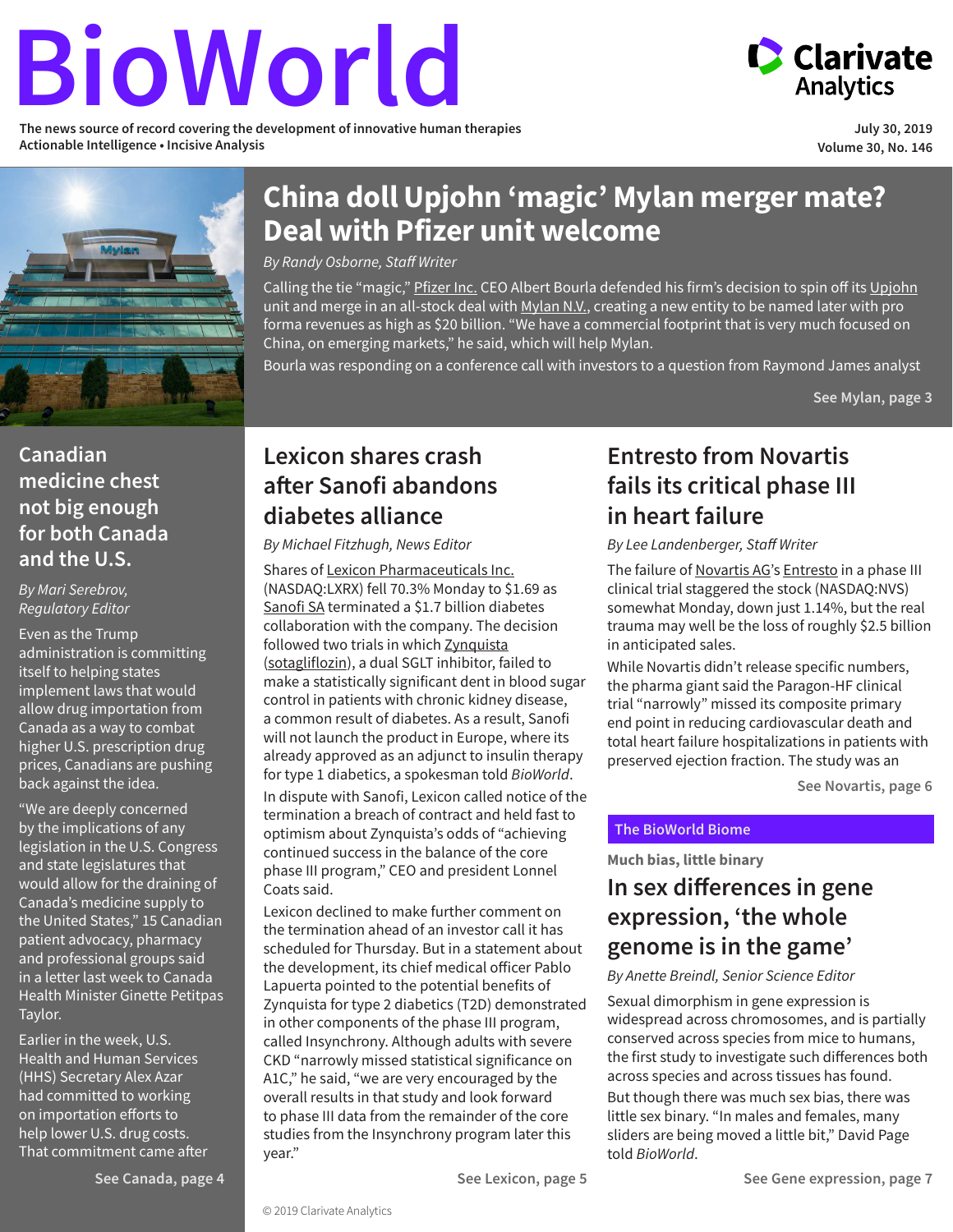# <span id="page-0-0"></span>**BioWorld**

**The news source of record covering the development of innovative human therapies Actionable Intelligence • Incisive Analysis**



**July 30, 2019 Volume 30, No. 146**



# **China doll Upjohn 'magic' Mylan merger mate? Deal with Pfizer unit welcome**

*By Randy Osborne, Staff Writer*

Calling the tie "magic," [Pfizer Inc.](https://www.cortellis.com/intelligence/qsearch/Pfizer) CEO Albert Bourla defended his firm's decision to spin off its [Upjohn](https://www.cortellis.com/intelligence/qsearch/Upjohn) unit and merge in an all-stock deal with [Mylan N.V.](https://www.cortellis.com/intelligence/qsearch/Mylan), creating a new entity to be named later with pro forma revenues as high as \$20 billion. "We have a commercial footprint that is very much focused on China, on emerging markets," he said, which will help Mylan.

Bourla was responding on a conference call with investors to a question from Raymond James analyst

**[See Mylan, page](#page-2-0) 3**

# **Canadian medicine chest not big enough for both Canada and the U.S.**

*By Mari Serebrov, Regulatory Editor*

Even as the Trump administration is committing itself to helping states implement laws that would allow drug importation from Canada as a way to combat higher U.S. prescription drug prices, Canadians are pushing back against the idea.

"We are deeply concerned by the implications of any legislation in the U.S. Congress and state legislatures that would allow for the draining of Canada's medicine supply to the United States," 15 Canadian patient advocacy, pharmacy and professional groups said in a letter last week to Canada Health Minister Ginette Petitpas Taylor.

Earlier in the week, U.S. Health and Human Services (HHS) Secretary Alex Azar had committed to working on importation efforts to help lower U.S. drug costs. That commitment came after

# **Lexicon shares crash after Sanofi abandons diabetes alliance**

*By Michael Fitzhugh, News Editor*

Shares of [Lexicon Pharmaceuticals Inc](https://www.cortellis.com/intelligence/qsearch/"Lexicon Pharmaceuticals"). (NASDAQ:LXRX) fell 70.3% Monday to \$1.69 as [Sanofi SA](https://www.cortellis.com/intelligence/qsearch/Sanofi) terminated a \$1.7 billion diabetes collaboration with the company. The decision followed two trials in which [Zynquista](https://www.cortellis.com/intelligence/qsearch/Zynquista) [\(sotagliflozin\)](https://www.cortellis.com/intelligence/qsearch/sotagliflozin), a dual SGLT inhibitor, failed to make a statistically significant dent in blood sugar control in patients with chronic kidney disease, a common result of diabetes. As a result, Sanofi will not launch the product in Europe, where its already approved as an adjunct to insulin therapy for type 1 diabetics, a spokesman told *BioWorld*. In dispute with Sanofi, Lexicon called notice of the termination a breach of contract and held fast to optimism about Zynquista's odds of "achieving continued success in the balance of the core phase III program," CEO and president Lonnel Coats said.

Lexicon declined to make further comment on the termination ahead of an investor call it has scheduled for Thursday. But in a statement about the development, its chief medical officer Pablo Lapuerta pointed to the potential benefits of Zynquista for type 2 diabetics (T2D) demonstrated in other components of the phase III program, called Insynchrony. Although adults with severe CKD "narrowly missed statistical significance on A1C," he said, "we are very encouraged by the overall results in that study and look forward to phase III data from the remainder of the core studies from the Insynchrony program later this year."

# **Entresto from Novartis fails its critical phase III in heart failure**

*By Lee Landenberger, Staff Writer*

The failure of [Novartis AG](https://www.cortellis.com/intelligence/qsearch/Novartis AG)'s [Entresto](https://www.cortellis.com/intelligence/qsearch/Entresto) in a phase III clinical trial staggered the stock (NASDAQ:NVS) somewhat Monday, down just 1.14%, but the real trauma may well be the loss of roughly \$2.5 billion in anticipated sales.

While Novartis didn't release specific numbers, the pharma giant said the Paragon-HF clinical trial "narrowly" missed its composite primary end point in reducing cardiovascular death and total heart failure hospitalizations in patients with preserved ejection fraction. The study was an

**[See Novartis, page](#page-5-0) 6**

#### **The BioWorld Biome**

**Much bias, little binary**

# **In sex differences in gene expression, 'the whole genome is in the game'**

#### *By Anette Breindl, Senior Science Editor*

Sexual dimorphism in gene expression is widespread across chromosomes, and is partially conserved across species from mice to humans, the first study to investigate such differences both across species and across tissues has found. But though there was much sex bias, there was little sex binary. "In males and females, many sliders are being moved a little bit," David Page told *BioWorld*.

**[See Canada, page](#page-3-0) 4 [See Lexicon, page](#page-4-0) 5 [See Gene expression, page](#page-6-0) 7**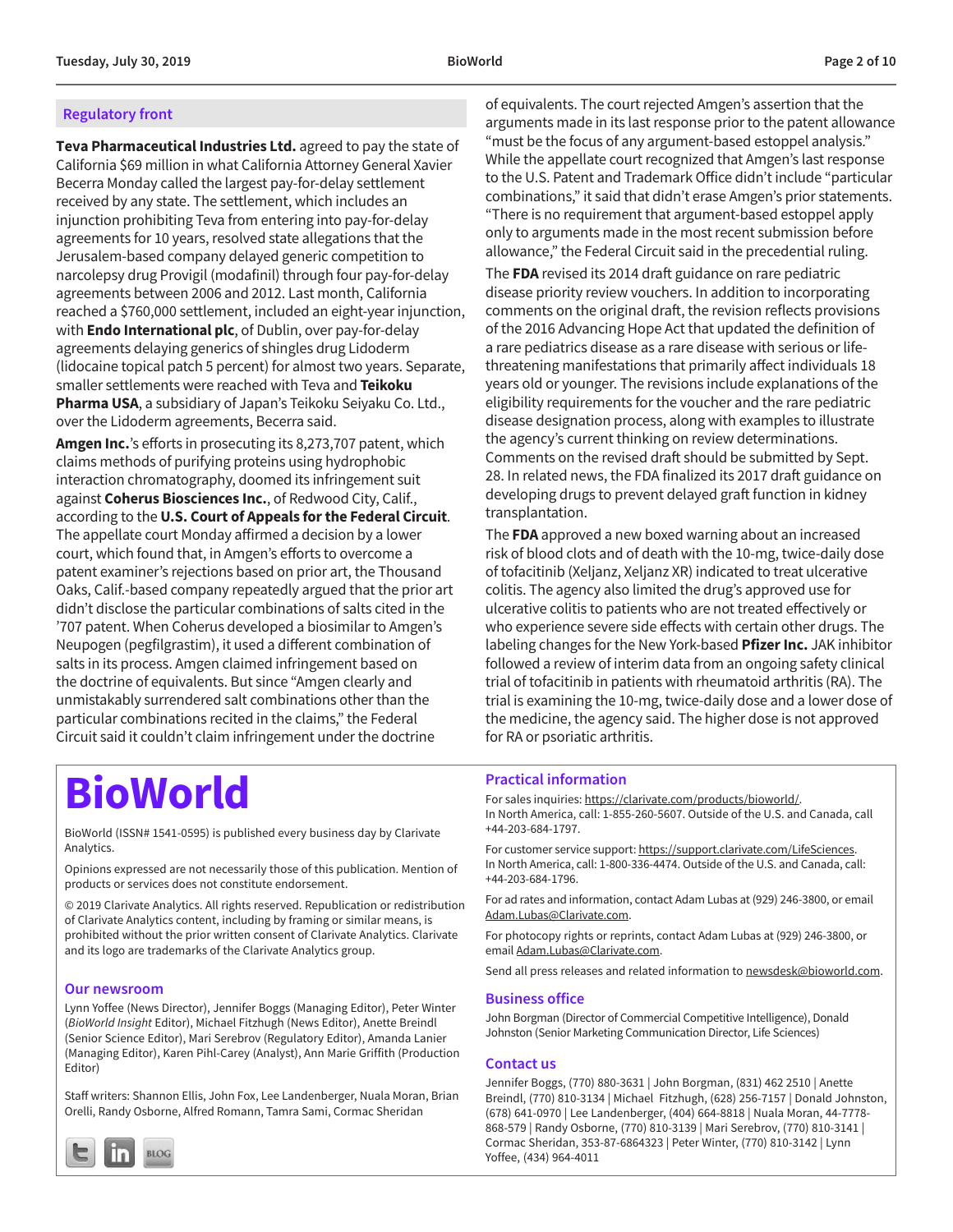#### **Regulatory front**

**Teva Pharmaceutical Industries Ltd.** agreed to pay the state of California \$69 million in what California Attorney General Xavier Becerra Monday called the largest pay-for-delay settlement received by any state. The settlement, which includes an injunction prohibiting Teva from entering into pay-for-delay agreements for 10 years, resolved state allegations that the Jerusalem-based company delayed generic competition to narcolepsy drug Provigil (modafinil) through four pay-for-delay agreements between 2006 and 2012. Last month, California reached a \$760,000 settlement, included an eight-year injunction, with **Endo International plc**, of Dublin, over pay-for-delay agreements delaying generics of shingles drug Lidoderm (lidocaine topical patch 5 percent) for almost two years. Separate, smaller settlements were reached with Teva and **Teikoku Pharma USA**, a subsidiary of Japan's Teikoku Seiyaku Co. Ltd., over the Lidoderm agreements, Becerra said.

**Amgen Inc.**'s efforts in prosecuting its 8,273,707 patent, which claims methods of purifying proteins using hydrophobic interaction chromatography, doomed its infringement suit against **Coherus Biosciences Inc.**, of Redwood City, Calif., according to the **U.S. Court of Appeals for the Federal Circuit**. The appellate court Monday affirmed a decision by a lower court, which found that, in Amgen's efforts to overcome a patent examiner's rejections based on prior art, the Thousand Oaks, Calif.-based company repeatedly argued that the prior art didn't disclose the particular combinations of salts cited in the '707 patent. When Coherus developed a biosimilar to Amgen's Neupogen (pegfilgrastim), it used a different combination of salts in its process. Amgen claimed infringement based on the doctrine of equivalents. But since "Amgen clearly and unmistakably surrendered salt combinations other than the particular combinations recited in the claims," the Federal Circuit said it couldn't claim infringement under the doctrine

of equivalents. The court rejected Amgen's assertion that the arguments made in its last response prior to the patent allowance "must be the focus of any argument-based estoppel analysis." While the appellate court recognized that Amgen's last response to the U.S. Patent and Trademark Office didn't include "particular combinations," it said that didn't erase Amgen's prior statements. "There is no requirement that argument-based estoppel apply only to arguments made in the most recent submission before allowance," the Federal Circuit said in the precedential ruling.

The **FDA** revised its 2014 draft guidance on rare pediatric disease priority review vouchers. In addition to incorporating comments on the original draft, the revision reflects provisions of the 2016 Advancing Hope Act that updated the definition of a rare pediatrics disease as a rare disease with serious or lifethreatening manifestations that primarily affect individuals 18 years old or younger. The revisions include explanations of the eligibility requirements for the voucher and the rare pediatric disease designation process, along with examples to illustrate the agency's current thinking on review determinations. Comments on the revised draft should be submitted by Sept. 28. In related news, the FDA finalized its 2017 draft guidance on developing drugs to prevent delayed graft function in kidney transplantation.

The **FDA** approved a new boxed warning about an increased risk of blood clots and of death with the 10-mg, twice-daily dose of tofacitinib (Xeljanz, Xeljanz XR) indicated to treat ulcerative colitis. The agency also limited the drug's approved use for ulcerative colitis to patients who are not treated effectively or who experience severe side effects with certain other drugs. The labeling changes for the New York-based **Pfizer Inc.** JAK inhibitor followed a review of interim data from an ongoing safety clinical trial of tofacitinib in patients with rheumatoid arthritis (RA). The trial is examining the 10-mg, twice-daily dose and a lower dose of the medicine, the agency said. The higher dose is not approved for RA or psoriatic arthritis.

# **BioWorld**

BioWorld (ISSN# 1541-0595) is published every business day by Clarivate Analytics.

Opinions expressed are not necessarily those of this publication. Mention of products or services does not constitute endorsement.

© 2019 Clarivate Analytics. All rights reserved. Republication or redistribution of Clarivate Analytics content, including by framing or similar means, is prohibited without the prior written consent of Clarivate Analytics. Clarivate and its logo are trademarks of the Clarivate Analytics group.

#### **Our newsroom**

Lynn Yoffee (News Director), Jennifer Boggs (Managing Editor), Peter Winter (*BioWorld Insight* Editor), Michael Fitzhugh (News Editor), Anette Breindl (Senior Science Editor), Mari Serebrov (Regulatory Editor), Amanda Lanier (Managing Editor), Karen Pihl-Carey (Analyst), Ann Marie Griffith (Production Editor)

Staff writers: Shannon Ellis, John Fox, Lee Landenberger, Nuala Moran, Brian Orelli, Randy Osborne, Alfred Romann, Tamra Sami, Cormac Sheridan



#### **Practical information**

For sales inquiries: [https://clarivate.com/products/bioworld/.](https://clarivate.com/products/bioworld/) In North America, call: 1-855-260-5607. Outside of the U.S. and Canada, call +44-203-684-1797.

For customer service support:<https://support.clarivate.com/LifeSciences>. In North America, call: 1-800-336-4474. Outside of the U.S. and Canada, call: +44-203-684-1796.

For ad rates and information, contact Adam Lubas at (929) 246-3800, or email [Adam.Lubas@Clarivate.com.](mailto:Adam.Lubas%40Clarivate.com?subject=)

For photocopy rights or reprints, contact Adam Lubas at (929) 246-3800, or email [Adam.Lubas@Clarivate.com.](mailto:Adam.Lubas%40Clarivate.com?subject=)

Send all press releases and related information to [newsdesk@bioworld.com.](mailto:newsdesk%40bioworld.com?subject=)

#### **Business office**

John Borgman (Director of Commercial Competitive Intelligence), Donald Johnston (Senior Marketing Communication Director, Life Sciences)

#### **Contact us**

Jennifer Boggs, (770) 880-3631 | John Borgman, (831) 462 2510 | Anette Breindl, (770) 810-3134 | Michael Fitzhugh, (628) 256-7157 | Donald Johnston, (678) 641-0970 | Lee Landenberger, (404) 664-8818 | Nuala Moran, 44-7778- 868-579 | Randy Osborne, (770) 810-3139 | Mari Serebrov, (770) 810-3141 | Cormac Sheridan, 353-87-6864323 | Peter Winter, (770) 810-3142 | Lynn Yoffee, (434) 964-4011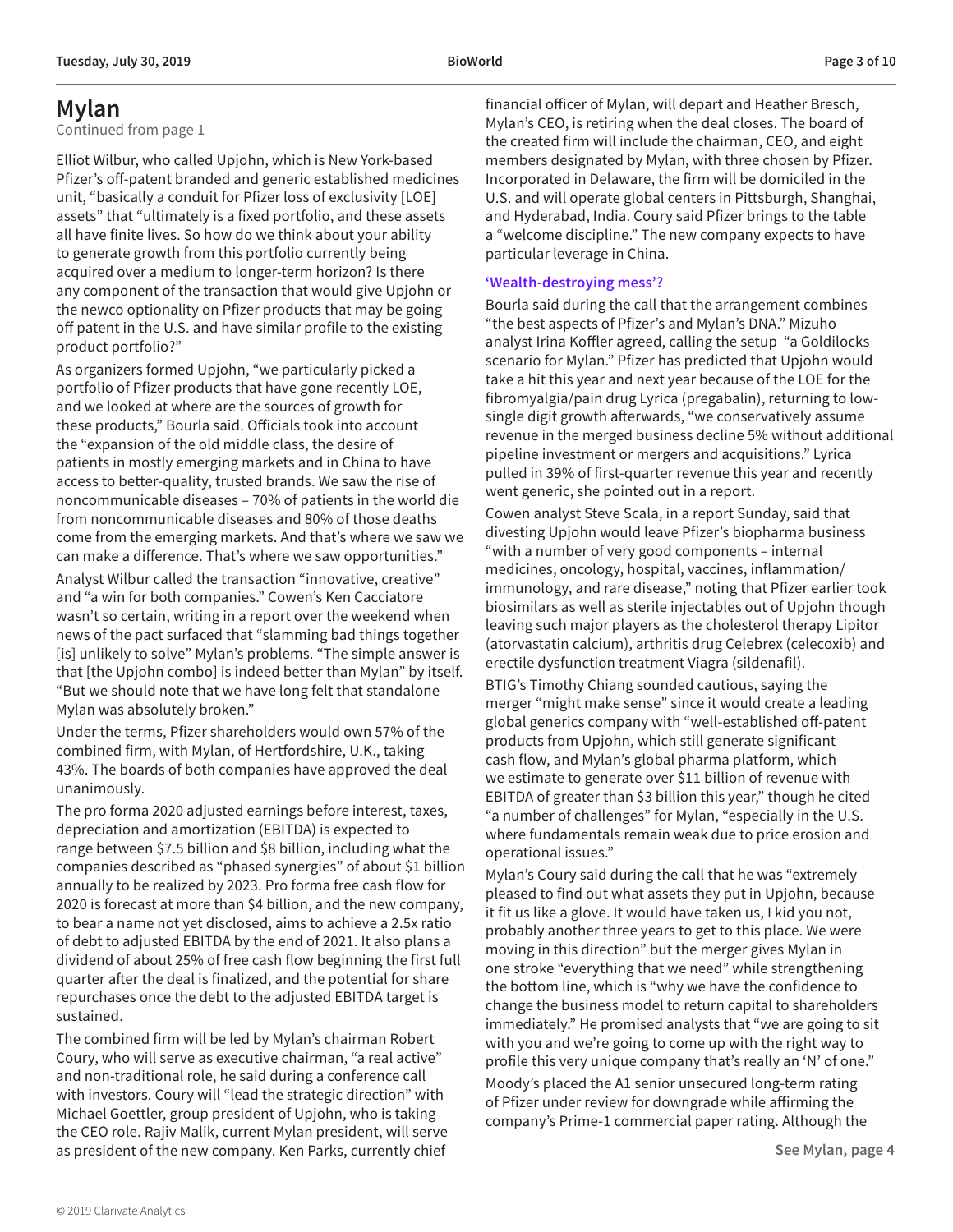# <span id="page-2-0"></span>**Mylan**

[Continued from page 1](#page-0-0)

Elliot Wilbur, who called Upjohn, which is New York-based Pfizer's off-patent branded and generic established medicines unit, "basically a conduit for Pfizer loss of exclusivity [LOE] assets" that "ultimately is a fixed portfolio, and these assets all have finite lives. So how do we think about your ability to generate growth from this portfolio currently being acquired over a medium to longer-term horizon? Is there any component of the transaction that would give Upjohn or the newco optionality on Pfizer products that may be going off patent in the U.S. and have similar profile to the existing product portfolio?"

As organizers formed Upjohn, "we particularly picked a portfolio of Pfizer products that have gone recently LOE, and we looked at where are the sources of growth for these products," Bourla said. Officials took into account the "expansion of the old middle class, the desire of patients in mostly emerging markets and in China to have access to better-quality, trusted brands. We saw the rise of noncommunicable diseases – 70% of patients in the world die from noncommunicable diseases and 80% of those deaths come from the emerging markets. And that's where we saw we can make a difference. That's where we saw opportunities."

Analyst Wilbur called the transaction "innovative, creative" and "a win for both companies." Cowen's Ken Cacciatore wasn't so certain, writing in a report over the weekend when news of the pact surfaced that "slamming bad things together [is] unlikely to solve" Mylan's problems. "The simple answer is that [the Upjohn combo] is indeed better than Mylan" by itself. "But we should note that we have long felt that standalone Mylan was absolutely broken."

Under the terms, Pfizer shareholders would own 57% of the combined firm, with Mylan, of Hertfordshire, U.K., taking 43%. The boards of both companies have approved the deal unanimously.

The pro forma 2020 adjusted earnings before interest, taxes, depreciation and amortization (EBITDA) is expected to range between \$7.5 billion and \$8 billion, including what the companies described as "phased synergies" of about \$1 billion annually to be realized by 2023. Pro forma free cash flow for 2020 is forecast at more than \$4 billion, and the new company, to bear a name not yet disclosed, aims to achieve a 2.5x ratio of debt to adjusted EBITDA by the end of 2021. It also plans a dividend of about 25% of free cash flow beginning the first full quarter after the deal is finalized, and the potential for share repurchases once the debt to the adjusted EBITDA target is sustained.

The combined firm will be led by Mylan's chairman Robert Coury, who will serve as executive chairman, "a real active" and non-traditional role, he said during a conference call with investors. Coury will "lead the strategic direction" with Michael Goettler, group president of Upjohn, who is taking the CEO role. Rajiv Malik, current Mylan president, will serve as president of the new company. Ken Parks, currently chief financial officer of Mylan, will depart and Heather Bresch, Mylan's CEO, is retiring when the deal closes. The board of the created firm will include the chairman, CEO, and eight members designated by Mylan, with three chosen by Pfizer. Incorporated in Delaware, the firm will be domiciled in the U.S. and will operate global centers in Pittsburgh, Shanghai, and Hyderabad, India. Coury said Pfizer brings to the table a "welcome discipline." The new company expects to have particular leverage in China.

#### **'Wealth-destroying mess'?**

Bourla said during the call that the arrangement combines "the best aspects of Pfizer's and Mylan's DNA." Mizuho analyst Irina Koffler agreed, calling the setup "a Goldilocks scenario for Mylan." Pfizer has predicted that Upjohn would take a hit this year and next year because of the LOE for the fibromyalgia/pain drug Lyrica (pregabalin), returning to lowsingle digit growth afterwards, "we conservatively assume revenue in the merged business decline 5% without additional pipeline investment or mergers and acquisitions." Lyrica pulled in 39% of first-quarter revenue this year and recently went generic, she pointed out in a report.

Cowen analyst Steve Scala, in a report Sunday, said that divesting Upjohn would leave Pfizer's biopharma business "with a number of very good components – internal medicines, oncology, hospital, vaccines, inflammation/ immunology, and rare disease," noting that Pfizer earlier took biosimilars as well as sterile injectables out of Upjohn though leaving such major players as the cholesterol therapy Lipitor (atorvastatin calcium), arthritis drug Celebrex (celecoxib) and erectile dysfunction treatment Viagra (sildenafil).

BTIG's Timothy Chiang sounded cautious, saying the merger "might make sense" since it would create a leading global generics company with "well-established off-patent products from Upjohn, which still generate significant cash flow, and Mylan's global pharma platform, which we estimate to generate over \$11 billion of revenue with EBITDA of greater than \$3 billion this year," though he cited "a number of challenges" for Mylan, "especially in the U.S. where fundamentals remain weak due to price erosion and operational issues."

Mylan's Coury said during the call that he was "extremely pleased to find out what assets they put in Upjohn, because it fit us like a glove. It would have taken us, I kid you not, probably another three years to get to this place. We were moving in this direction" but the merger gives Mylan in one stroke "everything that we need" while strengthening the bottom line, which is "why we have the confidence to change the business model to return capital to shareholders immediately." He promised analysts that "we are going to sit with you and we're going to come up with the right way to profile this very unique company that's really an 'N' of one." Moody's placed the A1 senior unsecured long-term rating of Pfizer under review for downgrade while affirming the company's Prime-1 commercial paper rating. Although the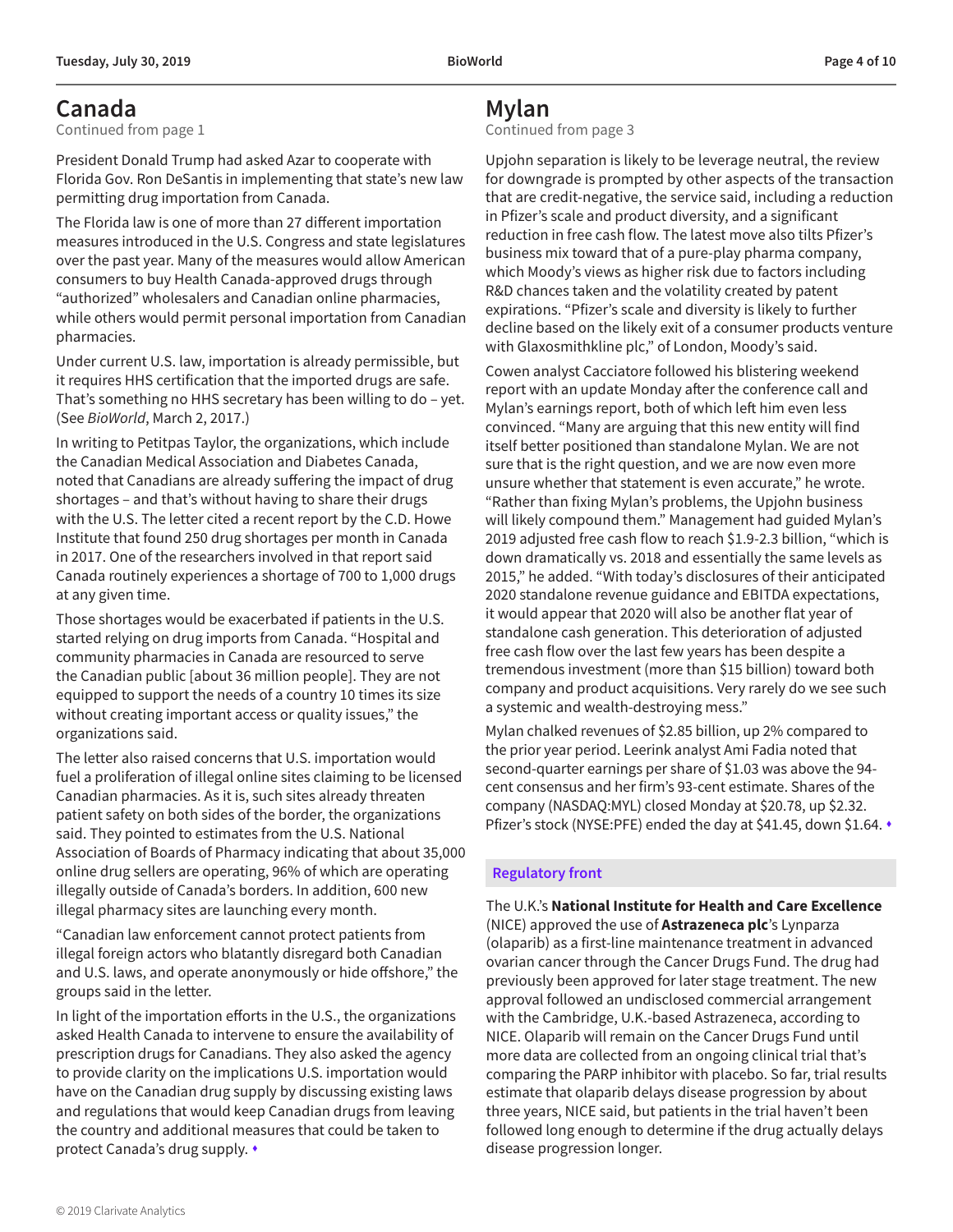# <span id="page-3-0"></span>**Canada**

[Continued from page 1](#page-0-0)

President Donald Trump had asked Azar to cooperate with Florida Gov. Ron DeSantis in implementing that state's new law permitting drug importation from Canada.

The Florida law is one of more than 27 different importation measures introduced in the U.S. Congress and state legislatures over the past year. Many of the measures would allow American consumers to buy Health Canada-approved drugs through "authorized" wholesalers and Canadian online pharmacies, while others would permit personal importation from Canadian pharmacies.

Under current U.S. law, importation is already permissible, but it requires HHS certification that the imported drugs are safe. That's something no HHS secretary has been willing to do – yet. (See *BioWorld*, March 2, 2017.)

In writing to Petitpas Taylor, the organizations, which include the Canadian Medical Association and Diabetes Canada, noted that Canadians are already suffering the impact of drug shortages – and that's without having to share their drugs with the U.S. The letter cited a recent report by the C.D. Howe Institute that found 250 drug shortages per month in Canada in 2017. One of the researchers involved in that report said Canada routinely experiences a shortage of 700 to 1,000 drugs at any given time.

Those shortages would be exacerbated if patients in the U.S. started relying on drug imports from Canada. "Hospital and community pharmacies in Canada are resourced to serve the Canadian public [about 36 million people]. They are not equipped to support the needs of a country 10 times its size without creating important access or quality issues," the organizations said.

The letter also raised concerns that U.S. importation would fuel a proliferation of illegal online sites claiming to be licensed Canadian pharmacies. As it is, such sites already threaten patient safety on both sides of the border, the organizations said. They pointed to estimates from the U.S. National Association of Boards of Pharmacy indicating that about 35,000 online drug sellers are operating, 96% of which are operating illegally outside of Canada's borders. In addition, 600 new illegal pharmacy sites are launching every month.

"Canadian law enforcement cannot protect patients from illegal foreign actors who blatantly disregard both Canadian and U.S. laws, and operate anonymously or hide offshore," the groups said in the letter.

In light of the importation efforts in the U.S., the organizations asked Health Canada to intervene to ensure the availability of prescription drugs for Canadians. They also asked the agency to provide clarity on the implications U.S. importation would have on the Canadian drug supply by discussing existing laws and regulations that would keep Canadian drugs from leaving the country and additional measures that could be taken to protect Canada's drug supply.  $\bullet$ 

# **Mylan**

[Continued from page 3](#page-2-0)

Upjohn separation is likely to be leverage neutral, the review for downgrade is prompted by other aspects of the transaction that are credit-negative, the service said, including a reduction in Pfizer's scale and product diversity, and a significant reduction in free cash flow. The latest move also tilts Pfizer's business mix toward that of a pure-play pharma company, which Moody's views as higher risk due to factors including R&D chances taken and the volatility created by patent expirations. "Pfizer's scale and diversity is likely to further decline based on the likely exit of a consumer products venture with Glaxosmithkline plc," of London, Moody's said.

Cowen analyst Cacciatore followed his blistering weekend report with an update Monday after the conference call and Mylan's earnings report, both of which left him even less convinced. "Many are arguing that this new entity will find itself better positioned than standalone Mylan. We are not sure that is the right question, and we are now even more unsure whether that statement is even accurate," he wrote. "Rather than fixing Mylan's problems, the Upjohn business will likely compound them." Management had guided Mylan's 2019 adjusted free cash flow to reach \$1.9-2.3 billion, "which is down dramatically vs. 2018 and essentially the same levels as 2015," he added. "With today's disclosures of their anticipated 2020 standalone revenue guidance and EBITDA expectations, it would appear that 2020 will also be another flat year of standalone cash generation. This deterioration of adjusted free cash flow over the last few years has been despite a tremendous investment (more than \$15 billion) toward both company and product acquisitions. Very rarely do we see such a systemic and wealth-destroying mess."

Mylan chalked revenues of \$2.85 billion, up 2% compared to the prior year period. Leerink analyst Ami Fadia noted that second-quarter earnings per share of \$1.03 was above the 94 cent consensus and her firm's 93-cent estimate. Shares of the company (NASDAQ:MYL) closed Monday at \$20.78, up \$2.32. Pfizer's stock (NYSE:PFE) ended the day at \$41.45, down \$1.64. •

#### **Regulatory front**

The U.K.'s **National Institute for Health and Care Excellence** (NICE) approved the use of **Astrazeneca plc**'s Lynparza (olaparib) as a first-line maintenance treatment in advanced ovarian cancer through the Cancer Drugs Fund. The drug had previously been approved for later stage treatment. The new approval followed an undisclosed commercial arrangement with the Cambridge, U.K.-based Astrazeneca, according to NICE. Olaparib will remain on the Cancer Drugs Fund until more data are collected from an ongoing clinical trial that's comparing the PARP inhibitor with placebo. So far, trial results estimate that olaparib delays disease progression by about three years, NICE said, but patients in the trial haven't been followed long enough to determine if the drug actually delays disease progression longer.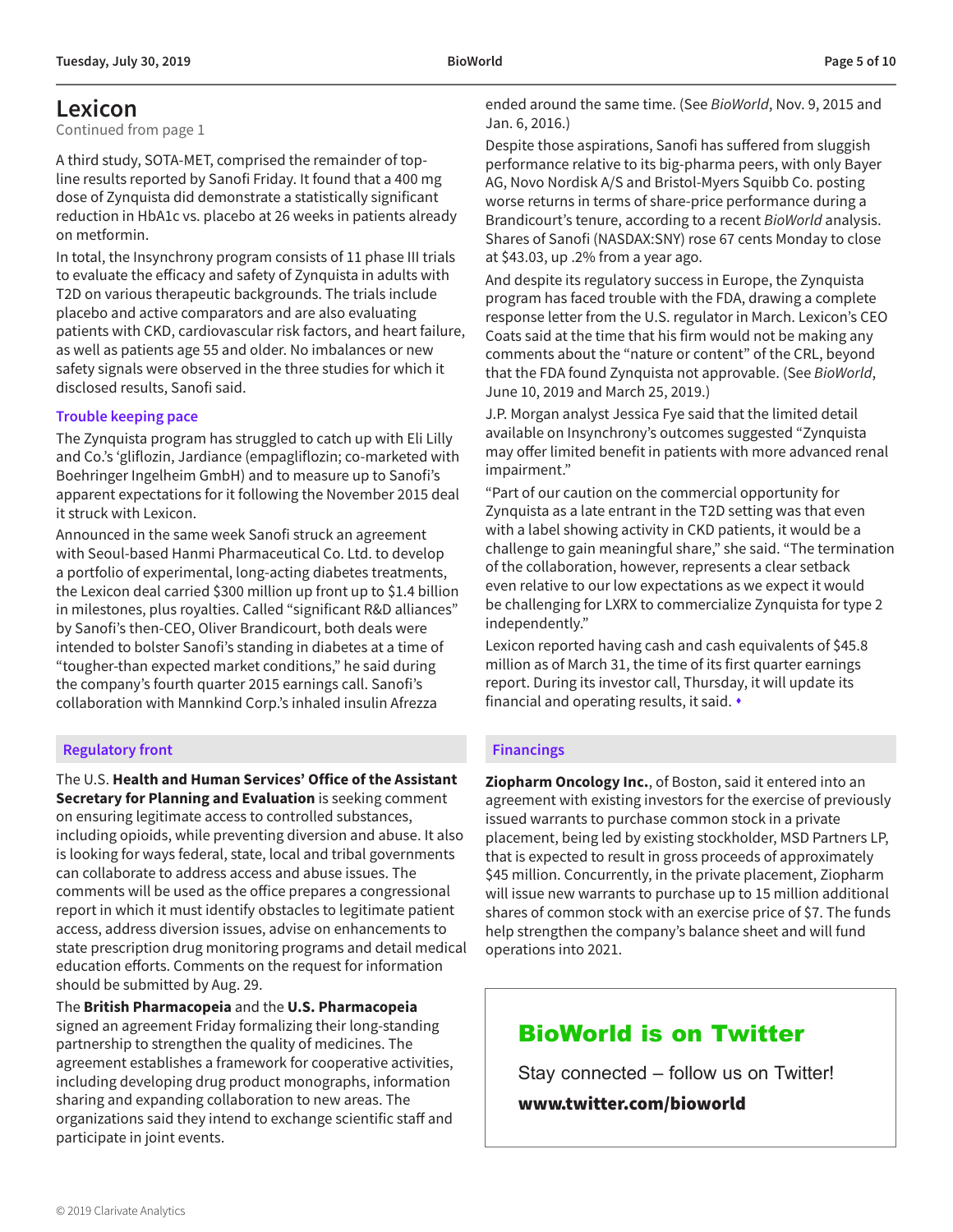# <span id="page-4-0"></span>**Lexicon**

[Continued from page 1](#page-0-0)

A third study, SOTA-MET, comprised the remainder of topline results reported by Sanofi Friday. It found that a 400 mg dose of Zynquista did demonstrate a statistically significant reduction in HbA1c vs. placebo at 26 weeks in patients already on metformin.

In total, the Insynchrony program consists of 11 phase III trials to evaluate the efficacy and safety of Zynquista in adults with T2D on various therapeutic backgrounds. The trials include placebo and active comparators and are also evaluating patients with CKD, cardiovascular risk factors, and heart failure, as well as patients age 55 and older. No imbalances or new safety signals were observed in the three studies for which it disclosed results, Sanofi said.

#### **Trouble keeping pace**

The Zynquista program has struggled to catch up with Eli Lilly and Co.'s 'gliflozin, Jardiance (empagliflozin; co-marketed with Boehringer Ingelheim GmbH) and to measure up to Sanofi's apparent expectations for it following the November 2015 deal it struck with Lexicon.

Announced in the same week Sanofi struck an agreement with Seoul-based Hanmi Pharmaceutical Co. Ltd. to develop a portfolio of experimental, long-acting diabetes treatments, the Lexicon deal carried \$300 million up front up to \$1.4 billion in milestones, plus royalties. Called "significant R&D alliances" by Sanofi's then-CEO, Oliver Brandicourt, both deals were intended to bolster Sanofi's standing in diabetes at a time of "tougher-than expected market conditions," he said during the company's fourth quarter 2015 earnings call. Sanofi's collaboration with Mannkind Corp.'s inhaled insulin Afrezza

#### **Regulatory front**

The U.S. **Health and Human Services' Office of the Assistant Secretary for Planning and Evaluation** is seeking comment on ensuring legitimate access to controlled substances, including opioids, while preventing diversion and abuse. It also is looking for ways federal, state, local and tribal governments can collaborate to address access and abuse issues. The comments will be used as the office prepares a congressional report in which it must identify obstacles to legitimate patient access, address diversion issues, advise on enhancements to state prescription drug monitoring programs and detail medical education efforts. Comments on the request for information should be submitted by Aug. 29.

The **British Pharmacopeia** and the **U.S. Pharmacopeia** signed an agreement Friday formalizing their long-standing partnership to strengthen the quality of medicines. The agreement establishes a framework for cooperative activities, including developing drug product monographs, information sharing and expanding collaboration to new areas. The organizations said they intend to exchange scientific staff and participate in joint events.

ended around the same time. (See *BioWorld*, Nov. 9, 2015 and Jan. 6, 2016.)

Despite those aspirations, Sanofi has suffered from sluggish performance relative to its big-pharma peers, with only Bayer AG, Novo Nordisk A/S and Bristol-Myers Squibb Co. posting worse returns in terms of share-price performance during a Brandicourt's tenure, according to a recent *BioWorld* analysis. Shares of Sanofi (NASDAX:SNY) rose 67 cents Monday to close at \$43.03, up .2% from a year ago.

And despite its regulatory success in Europe, the Zynquista program has faced trouble with the FDA, drawing a complete response letter from the U.S. regulator in March. Lexicon's CEO Coats said at the time that his firm would not be making any comments about the "nature or content" of the CRL, beyond that the FDA found Zynquista not approvable. (See *BioWorld*, June 10, 2019 and March 25, 2019.)

J.P. Morgan analyst Jessica Fye said that the limited detail available on Insynchrony's outcomes suggested "Zynquista may offer limited benefit in patients with more advanced renal impairment."

"Part of our caution on the commercial opportunity for Zynquista as a late entrant in the T2D setting was that even with a label showing activity in CKD patients, it would be a challenge to gain meaningful share," she said. "The termination of the collaboration, however, represents a clear setback even relative to our low expectations as we expect it would be challenging for LXRX to commercialize Zynquista for type 2 independently."

Lexicon reported having cash and cash equivalents of \$45.8 million as of March 31, the time of its first quarter earnings report. During its investor call, Thursday, it will update its financial and operating results, it said.  $\cdot$ 

#### **Financings**

**Ziopharm Oncology Inc.**, of Boston, said it entered into an agreement with existing investors for the exercise of previously issued warrants to purchase common stock in a private placement, being led by existing stockholder, MSD Partners LP, that is expected to result in gross proceeds of approximately \$45 million. Concurrently, in the private placement, Ziopharm will issue new warrants to purchase up to 15 million additional shares of common stock with an exercise price of \$7. The funds help strengthen the company's balance sheet and will fund operations into 2021.

# BioWorld is on Twitter

Stay connected – follow us on Twitter! [www.twitter.com/bioworld](http://www.twitter.com/bioworld)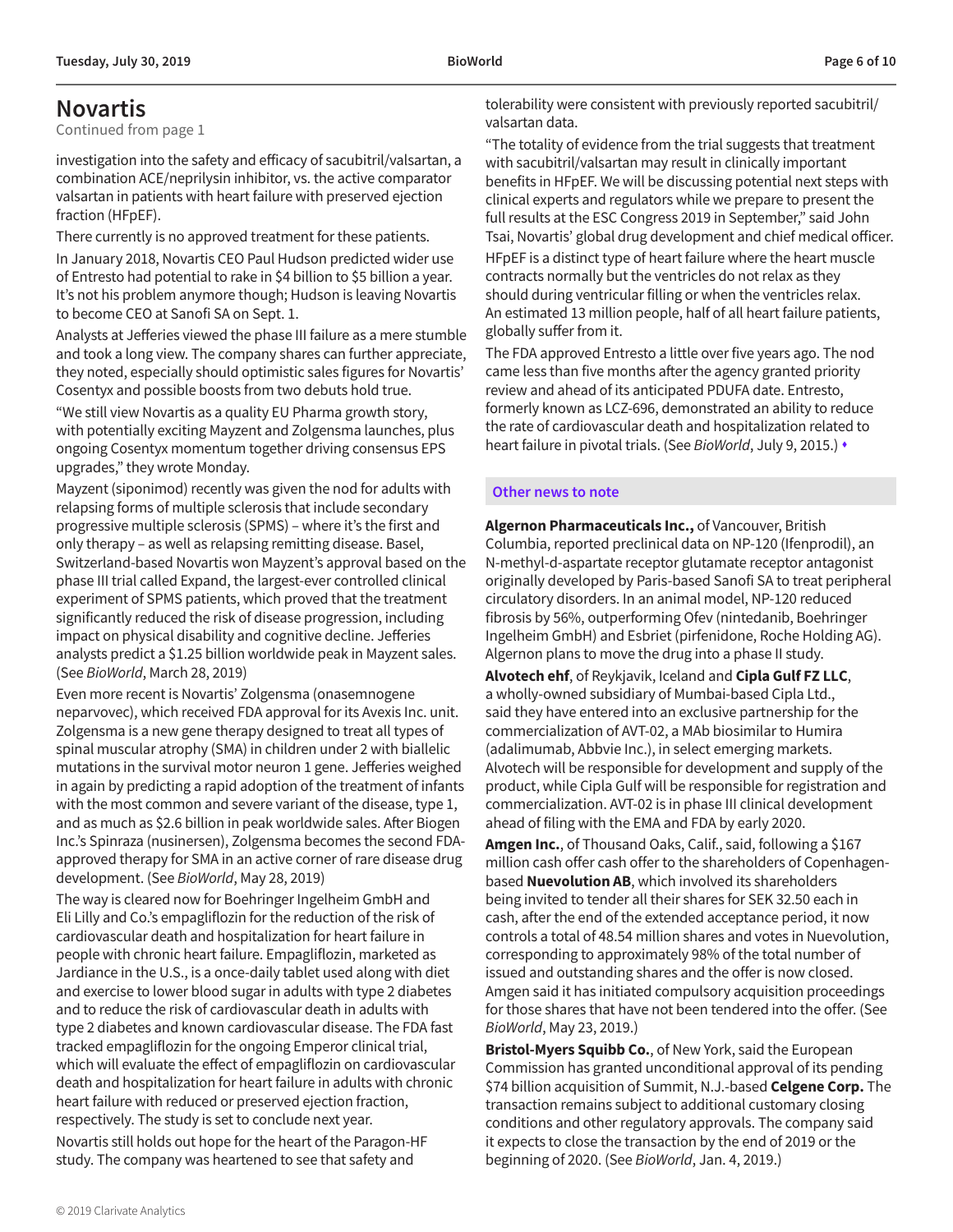# <span id="page-5-0"></span>**Novartis**

[Continued from page 1](#page-0-0)

investigation into the safety and efficacy of sacubitril/valsartan, a combination ACE/neprilysin inhibitor, vs. the active comparator valsartan in patients with heart failure with preserved ejection fraction (HFpEF).

There currently is no approved treatment for these patients. In January 2018, Novartis CEO Paul Hudson predicted wider use of Entresto had potential to rake in \$4 billion to \$5 billion a year. It's not his problem anymore though; Hudson is leaving Novartis to become CEO at Sanofi SA on Sept. 1.

Analysts at Jefferies viewed the phase III failure as a mere stumble and took a long view. The company shares can further appreciate, they noted, especially should optimistic sales figures for Novartis' Cosentyx and possible boosts from two debuts hold true.

"We still view Novartis as a quality EU Pharma growth story, with potentially exciting Mayzent and Zolgensma launches, plus ongoing Cosentyx momentum together driving consensus EPS upgrades," they wrote Monday.

Mayzent (siponimod) recently was given the nod for adults with relapsing forms of multiple sclerosis that include secondary progressive multiple sclerosis (SPMS) – where it's the first and only therapy – as well as relapsing remitting disease. Basel, Switzerland-based Novartis won Mayzent's approval based on the phase III trial called Expand, the largest-ever controlled clinical experiment of SPMS patients, which proved that the treatment significantly reduced the risk of disease progression, including impact on physical disability and cognitive decline. Jefferies analysts predict a \$1.25 billion worldwide peak in Mayzent sales. (See *BioWorld*, March 28, 2019)

Even more recent is Novartis' Zolgensma (onasemnogene neparvovec), which received FDA approval for its Avexis Inc. unit. Zolgensma is a new gene therapy designed to treat all types of spinal muscular atrophy (SMA) in children under 2 with biallelic mutations in the survival motor neuron 1 gene. Jefferies weighed in again by predicting a rapid adoption of the treatment of infants with the most common and severe variant of the disease, type 1, and as much as \$2.6 billion in peak worldwide sales. After Biogen Inc.'s Spinraza (nusinersen), Zolgensma becomes the second FDAapproved therapy for SMA in an active corner of rare disease drug development. (See *BioWorld*, May 28, 2019)

The way is cleared now for Boehringer Ingelheim GmbH and Eli Lilly and Co.'s empagliflozin for the reduction of the risk of cardiovascular death and hospitalization for heart failure in people with chronic heart failure. Empagliflozin, marketed as Jardiance in the U.S., is a once-daily tablet used along with diet and exercise to lower blood sugar in adults with type 2 diabetes and to reduce the risk of cardiovascular death in adults with type 2 diabetes and known cardiovascular disease. The FDA fast tracked empagliflozin for the ongoing Emperor clinical trial, which will evaluate the effect of empagliflozin on cardiovascular death and hospitalization for heart failure in adults with chronic heart failure with reduced or preserved ejection fraction, respectively. The study is set to conclude next year.

Novartis still holds out hope for the heart of the Paragon-HF study. The company was heartened to see that safety and

tolerability were consistent with previously reported sacubitril/ valsartan data.

"The totality of evidence from the trial suggests that treatment with sacubitril/valsartan may result in clinically important benefits in HFpEF. We will be discussing potential next steps with clinical experts and regulators while we prepare to present the full results at the ESC Congress 2019 in September," said John Tsai, Novartis' global drug development and chief medical officer. HFpEF is a distinct type of heart failure where the heart muscle contracts normally but the ventricles do not relax as they should during ventricular filling or when the ventricles relax. An estimated 13 million people, half of all heart failure patients, globally suffer from it.

The FDA approved Entresto a little over five years ago. The nod came less than five months after the agency granted priority review and ahead of its anticipated PDUFA date. Entresto, formerly known as LCZ-696, demonstrated an ability to reduce the rate of cardiovascular death and hospitalization related to heart failure in pivotal trials. (See BioWorld, July 9, 2015.) •

#### **Other news to note**

**Algernon Pharmaceuticals Inc.,** of Vancouver, British Columbia, reported preclinical data on NP-120 (Ifenprodil), an N-methyl-d-aspartate receptor glutamate receptor antagonist originally developed by Paris-based Sanofi SA to treat peripheral circulatory disorders. In an animal model, NP-120 reduced fibrosis by 56%, outperforming Ofev (nintedanib, Boehringer Ingelheim GmbH) and Esbriet (pirfenidone, Roche Holding AG). Algernon plans to move the drug into a phase II study.

**Alvotech ehf**, of Reykjavik, Iceland and **Cipla Gulf FZ LLC**, a wholly-owned subsidiary of Mumbai-based Cipla Ltd., said they have entered into an exclusive partnership for the commercialization of AVT-02, a MAb biosimilar to Humira (adalimumab, Abbvie Inc.), in select emerging markets. Alvotech will be responsible for development and supply of the product, while Cipla Gulf will be responsible for registration and commercialization. AVT-02 is in phase III clinical development ahead of filing with the EMA and FDA by early 2020.

**Amgen Inc.**, of Thousand Oaks, Calif., said, following a \$167 million cash offer cash offer to the shareholders of Copenhagenbased **Nuevolution AB**, which involved its shareholders being invited to tender all their shares for SEK 32.50 each in cash, after the end of the extended acceptance period, it now controls a total of 48.54 million shares and votes in Nuevolution, corresponding to approximately 98% of the total number of issued and outstanding shares and the offer is now closed. Amgen said it has initiated compulsory acquisition proceedings for those shares that have not been tendered into the offer. (See *BioWorld*, May 23, 2019.)

**Bristol-Myers Squibb Co.**, of New York, said the European Commission has granted unconditional approval of its pending \$74 billion acquisition of Summit, N.J.-based **Celgene Corp.** The transaction remains subject to additional customary closing conditions and other regulatory approvals. The company said it expects to close the transaction by the end of 2019 or the beginning of 2020. (See *BioWorld*, Jan. 4, 2019.)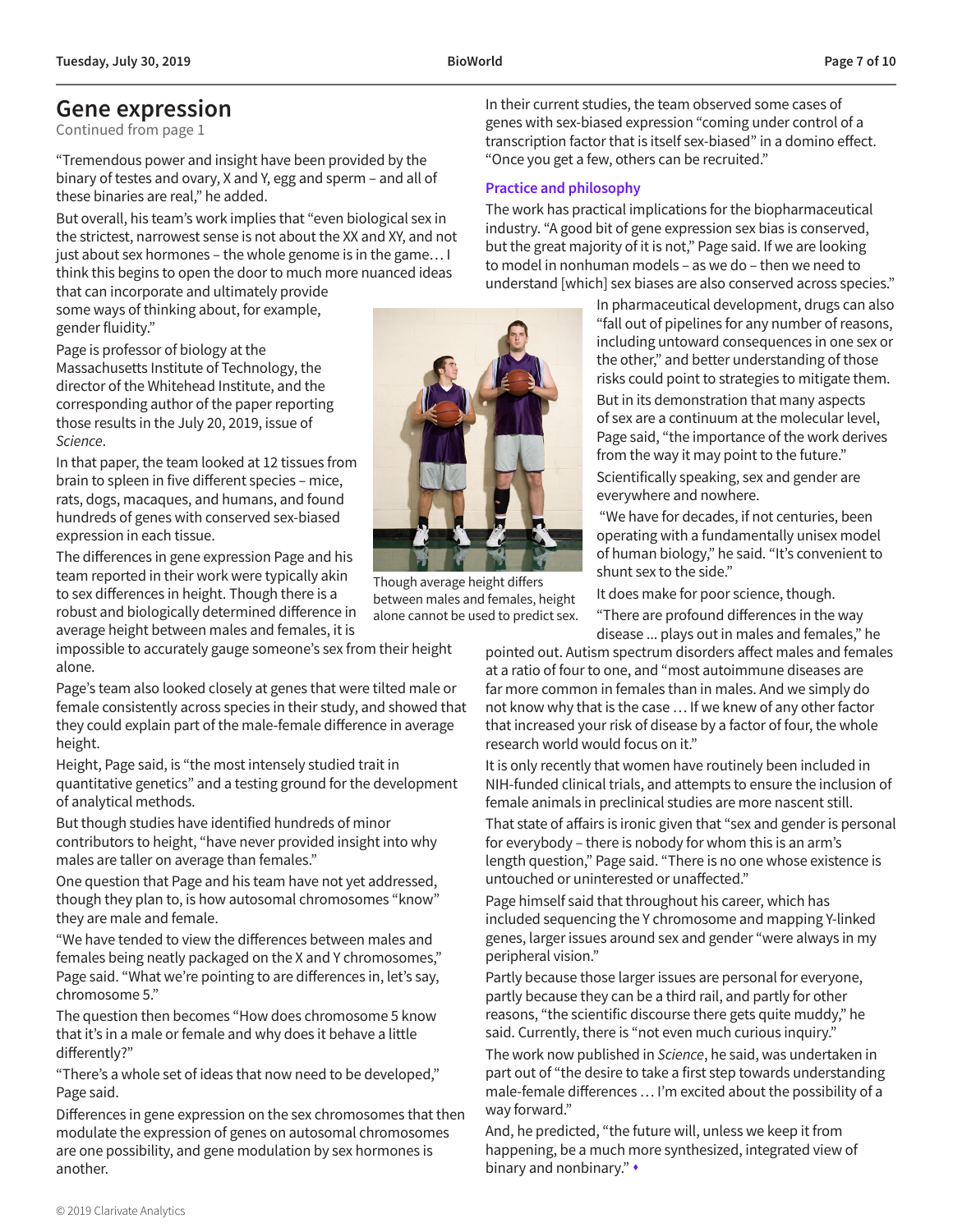## <span id="page-6-0"></span>**Gene expression**

[Continued from page 1](#page-0-0)

"Tremendous power and insight have been provided by the binary of testes and ovary, X and Y, egg and sperm – and all of these binaries are real," he added.

But overall, his team's work implies that "even biological sex in the strictest, narrowest sense is not about the XX and XY, and not just about sex hormones – the whole genome is in the game… I think this begins to open the door to much more nuanced ideas that can incorporate and ultimately provide

some ways of thinking about, for example, gender fluidity."

Page is professor of biology at the Massachusetts Institute of Technology, the director of the Whitehead Institute, and the corresponding author of the paper reporting those results in the July 20, 2019, issue of *Science*.

In that paper, the team looked at 12 tissues from brain to spleen in five different species – mice, rats, dogs, macaques, and humans, and found hundreds of genes with conserved sex-biased expression in each tissue.

The differences in gene expression Page and his team reported in their work were typically akin to sex differences in height. Though there is a robust and biologically determined difference in

average height between males and females, it is impossible to accurately gauge someone's sex from their height alone.

Page's team also looked closely at genes that were tilted male or female consistently across species in their study, and showed that they could explain part of the male-female difference in average height.

Height, Page said, is "the most intensely studied trait in quantitative genetics" and a testing ground for the development of analytical methods.

But though studies have identified hundreds of minor contributors to height, "have never provided insight into why males are taller on average than females."

One question that Page and his team have not yet addressed, though they plan to, is how autosomal chromosomes "know" they are male and female.

"We have tended to view the differences between males and females being neatly packaged on the X and Y chromosomes," Page said. "What we're pointing to are differences in, let's say, chromosome 5."

The question then becomes "How does chromosome 5 know that it's in a male or female and why does it behave a little differently?"

"There's a whole set of ideas that now need to be developed," Page said.

Differences in gene expression on the sex chromosomes that then modulate the expression of genes on autosomal chromosomes are one possibility, and gene modulation by sex hormones is another.

In their current studies, the team observed some cases of genes with sex-biased expression "coming under control of a transcription factor that is itself sex-biased" in a domino effect. "Once you get a few, others can be recruited."

#### **Practice and philosophy**

The work has practical implications for the biopharmaceutical industry. "A good bit of gene expression sex bias is conserved, but the great majority of it is not," Page said. If we are looking to model in nonhuman models – as we do – then we need to understand [which] sex biases are also conserved across species."

> In pharmaceutical development, drugs can also "fall out of pipelines for any number of reasons, including untoward consequences in one sex or the other," and better understanding of those risks could point to strategies to mitigate them.

But in its demonstration that many aspects of sex are a continuum at the molecular level, Page said, "the importance of the work derives from the way it may point to the future." Scientifically speaking, sex and gender are everywhere and nowhere.

 "We have for decades, if not centuries, been operating with a fundamentally unisex model of human biology," he said. "It's convenient to shunt sex to the side."

It does make for poor science, though.

"There are profound differences in the way disease ... plays out in males and females," he

pointed out. Autism spectrum disorders affect males and females at a ratio of four to one, and "most autoimmune diseases are far more common in females than in males. And we simply do not know why that is the case … If we knew of any other factor that increased your risk of disease by a factor of four, the whole research world would focus on it."

It is only recently that women have routinely been included in NIH-funded clinical trials, and attempts to ensure the inclusion of female animals in preclinical studies are more nascent still.

That state of affairs is ironic given that "sex and gender is personal for everybody – there is nobody for whom this is an arm's length question," Page said. "There is no one whose existence is untouched or uninterested or unaffected."

Page himself said that throughout his career, which has included sequencing the Y chromosome and mapping Y-linked genes, larger issues around sex and gender "were always in my peripheral vision."

Partly because those larger issues are personal for everyone, partly because they can be a third rail, and partly for other reasons, "the scientific discourse there gets quite muddy," he said. Currently, there is "not even much curious inquiry."

The work now published in *Science*, he said, was undertaken in part out of "the desire to take a first step towards understanding male-female differences … I'm excited about the possibility of a way forward."

And, he predicted, "the future will, unless we keep it from happening, be a much more synthesized, integrated view of binary and nonbinary." $\cdot$ 



Though average height differs between males and females, height alone cannot be used to predict sex.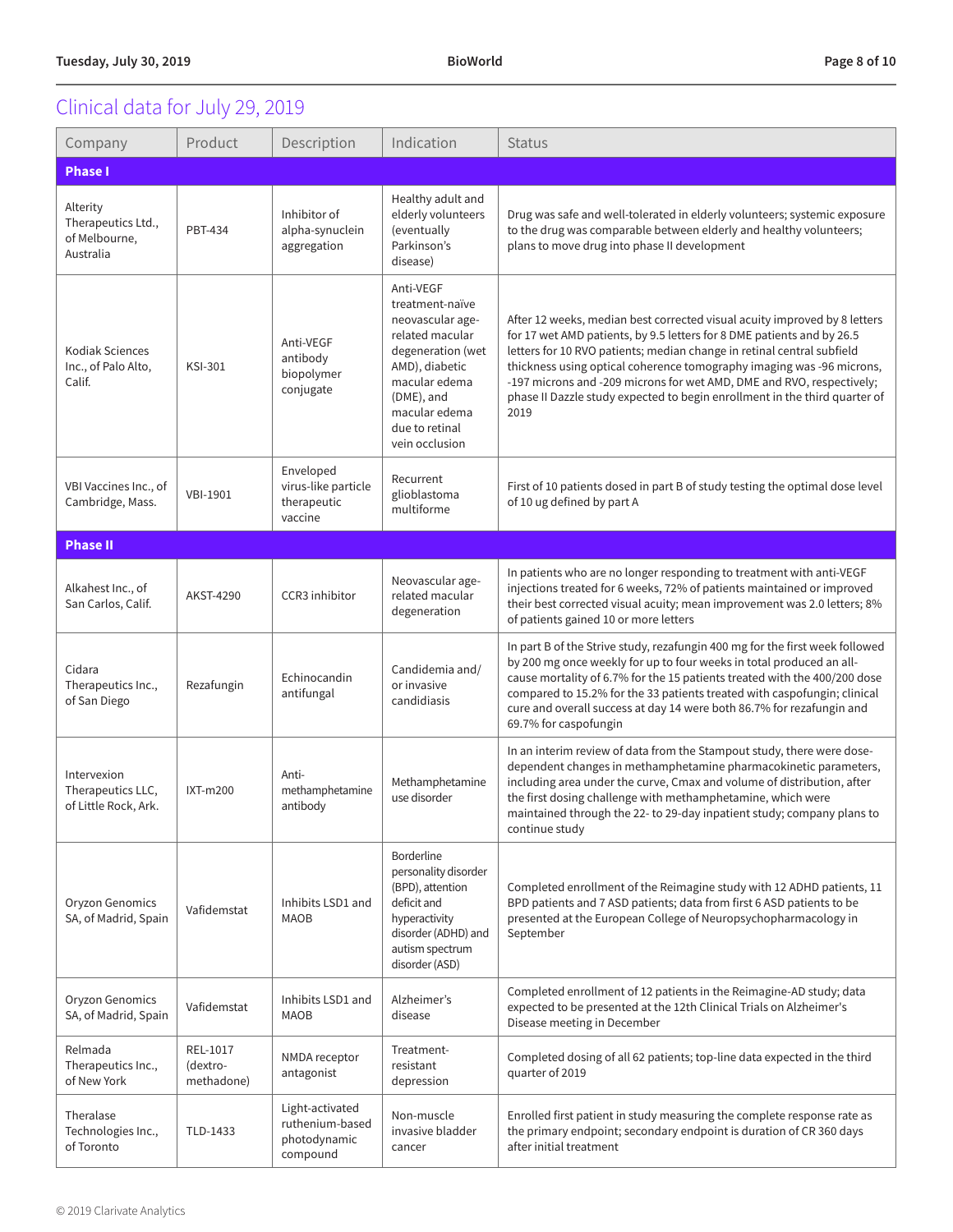# Clinical data for July 29, 2019

| Company                                                      | Product                            | Description                                                    | Indication                                                                                                                                                                                     | <b>Status</b>                                                                                                                                                                                                                                                                                                                                                                                                                                                         |  |  |  |
|--------------------------------------------------------------|------------------------------------|----------------------------------------------------------------|------------------------------------------------------------------------------------------------------------------------------------------------------------------------------------------------|-----------------------------------------------------------------------------------------------------------------------------------------------------------------------------------------------------------------------------------------------------------------------------------------------------------------------------------------------------------------------------------------------------------------------------------------------------------------------|--|--|--|
| <b>Phase I</b>                                               |                                    |                                                                |                                                                                                                                                                                                |                                                                                                                                                                                                                                                                                                                                                                                                                                                                       |  |  |  |
| Alterity<br>Therapeutics Ltd.,<br>of Melbourne,<br>Australia | <b>PBT-434</b>                     | Inhibitor of<br>alpha-synuclein<br>aggregation                 | Healthy adult and<br>elderly volunteers<br>(eventually<br>Parkinson's<br>disease)                                                                                                              | Drug was safe and well-tolerated in elderly volunteers; systemic exposure<br>to the drug was comparable between elderly and healthy volunteers;<br>plans to move drug into phase II development                                                                                                                                                                                                                                                                       |  |  |  |
| Kodiak Sciences<br>Inc., of Palo Alto,<br>Calif.             | <b>KSI-301</b>                     | Anti-VEGF<br>antibody<br>biopolymer<br>conjugate               | Anti-VEGF<br>treatment-naïve<br>neovascular age-<br>related macular<br>degeneration (wet<br>AMD), diabetic<br>macular edema<br>(DME), and<br>macular edema<br>due to retinal<br>vein occlusion | After 12 weeks, median best corrected visual acuity improved by 8 letters<br>for 17 wet AMD patients, by 9.5 letters for 8 DME patients and by 26.5<br>letters for 10 RVO patients; median change in retinal central subfield<br>thickness using optical coherence tomography imaging was -96 microns,<br>-197 microns and -209 microns for wet AMD, DME and RVO, respectively;<br>phase II Dazzle study expected to begin enrollment in the third quarter of<br>2019 |  |  |  |
| VBI Vaccines Inc., of<br>Cambridge, Mass.                    | <b>VBI-1901</b>                    | Enveloped<br>virus-like particle<br>therapeutic<br>vaccine     | Recurrent<br>glioblastoma<br>multiforme                                                                                                                                                        | First of 10 patients dosed in part B of study testing the optimal dose level<br>of 10 ug defined by part A                                                                                                                                                                                                                                                                                                                                                            |  |  |  |
| <b>Phase II</b>                                              |                                    |                                                                |                                                                                                                                                                                                |                                                                                                                                                                                                                                                                                                                                                                                                                                                                       |  |  |  |
| Alkahest Inc., of<br>San Carlos, Calif.                      | AKST-4290                          | CCR3 inhibitor                                                 | Neovascular age-<br>related macular<br>degeneration                                                                                                                                            | In patients who are no longer responding to treatment with anti-VEGF<br>injections treated for 6 weeks, 72% of patients maintained or improved<br>their best corrected visual acuity; mean improvement was 2.0 letters; 8%<br>of patients gained 10 or more letters                                                                                                                                                                                                   |  |  |  |
| Cidara<br>Therapeutics Inc.,<br>of San Diego                 | Rezafungin                         | Echinocandin<br>antifungal                                     | Candidemia and/<br>or invasive<br>candidiasis                                                                                                                                                  | In part B of the Strive study, rezafungin 400 mg for the first week followed<br>by 200 mg once weekly for up to four weeks in total produced an all-<br>cause mortality of 6.7% for the 15 patients treated with the 400/200 dose<br>compared to 15.2% for the 33 patients treated with caspofungin; clinical<br>cure and overall success at day 14 were both 86.7% for rezafungin and<br>69.7% for caspofungin                                                       |  |  |  |
| Intervexion<br>Therapeutics LLC,<br>of Little Rock, Ark.     | IXT-m200                           | Anti-<br>methamphetamine<br>antibody                           | Methamphetamine<br>use disorder                                                                                                                                                                | In an interim review of data from the Stampout study, there were dose-<br>dependent changes in methamphetamine pharmacokinetic parameters,<br>including area under the curve, Cmax and volume of distribution, after<br>the first dosing challenge with methamphetamine, which were<br>maintained through the 22- to 29-day inpatient study; company plans to<br>continue study                                                                                       |  |  |  |
| Oryzon Genomics<br>SA, of Madrid, Spain                      | Vafidemstat                        | Inhibits LSD1 and<br>MAOB                                      | <b>Borderline</b><br>personality disorder<br>(BPD), attention<br>deficit and<br>hyperactivity<br>disorder (ADHD) and<br>autism spectrum<br>disorder (ASD)                                      | Completed enrollment of the Reimagine study with 12 ADHD patients, 11<br>BPD patients and 7 ASD patients; data from first 6 ASD patients to be<br>presented at the European College of Neuropsychopharmacology in<br>September                                                                                                                                                                                                                                        |  |  |  |
| Oryzon Genomics<br>SA, of Madrid, Spain                      | Vafidemstat                        | Inhibits LSD1 and<br>MAOB                                      | Alzheimer's<br>disease                                                                                                                                                                         | Completed enrollment of 12 patients in the Reimagine-AD study; data<br>expected to be presented at the 12th Clinical Trials on Alzheimer's<br>Disease meeting in December                                                                                                                                                                                                                                                                                             |  |  |  |
| Relmada<br>Therapeutics Inc.,<br>of New York                 | REL-1017<br>(dextro-<br>methadone) | NMDA receptor<br>antagonist                                    | Treatment-<br>resistant<br>depression                                                                                                                                                          | Completed dosing of all 62 patients; top-line data expected in the third<br>quarter of 2019                                                                                                                                                                                                                                                                                                                                                                           |  |  |  |
| Theralase<br>Technologies Inc.,<br>of Toronto                | TLD-1433                           | Light-activated<br>ruthenium-based<br>photodynamic<br>compound | Non-muscle<br>invasive bladder<br>cancer                                                                                                                                                       | Enrolled first patient in study measuring the complete response rate as<br>the primary endpoint; secondary endpoint is duration of CR 360 days<br>after initial treatment                                                                                                                                                                                                                                                                                             |  |  |  |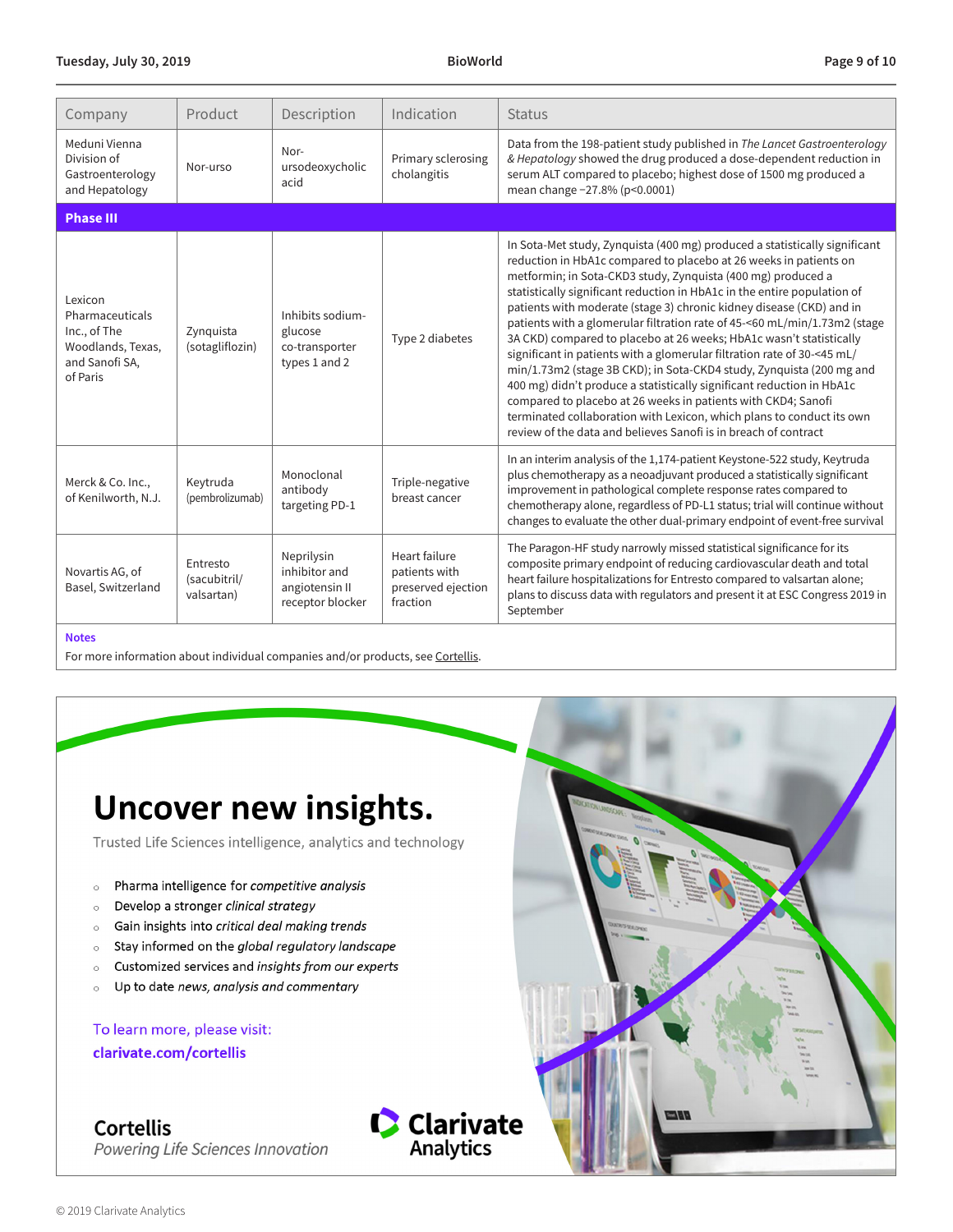| Company                                                                                       | Product                                | Description                                                       | Indication                                                       | <b>Status</b>                                                                                                                                                                                                                                                                                                                                                                                                                                                                                                                                                                                                                                                                                                                                                                                                                                                                                                                                                    |  |  |
|-----------------------------------------------------------------------------------------------|----------------------------------------|-------------------------------------------------------------------|------------------------------------------------------------------|------------------------------------------------------------------------------------------------------------------------------------------------------------------------------------------------------------------------------------------------------------------------------------------------------------------------------------------------------------------------------------------------------------------------------------------------------------------------------------------------------------------------------------------------------------------------------------------------------------------------------------------------------------------------------------------------------------------------------------------------------------------------------------------------------------------------------------------------------------------------------------------------------------------------------------------------------------------|--|--|
| Meduni Vienna<br>Division of<br>Gastroenterology<br>and Hepatology                            | Nor-urso                               | Nor-<br>ursodeoxycholic<br>acid                                   | Primary sclerosing<br>cholangitis                                | Data from the 198-patient study published in The Lancet Gastroenterology<br>& Hepatology showed the drug produced a dose-dependent reduction in<br>serum ALT compared to placebo; highest dose of 1500 mg produced a<br>mean change -27.8% (p<0.0001)                                                                                                                                                                                                                                                                                                                                                                                                                                                                                                                                                                                                                                                                                                            |  |  |
| <b>Phase III</b>                                                                              |                                        |                                                                   |                                                                  |                                                                                                                                                                                                                                                                                                                                                                                                                                                                                                                                                                                                                                                                                                                                                                                                                                                                                                                                                                  |  |  |
| Lexicon<br>Pharmaceuticals<br>Inc., of The<br>Woodlands, Texas,<br>and Sanofi SA,<br>of Paris | Zynguista<br>(sotagliflozin)           | Inhibits sodium-<br>glucose<br>co-transporter<br>types 1 and 2    | Type 2 diabetes                                                  | In Sota-Met study, Zynquista (400 mg) produced a statistically significant<br>reduction in HbA1c compared to placebo at 26 weeks in patients on<br>metformin; in Sota-CKD3 study, Zynquista (400 mg) produced a<br>statistically significant reduction in HbA1c in the entire population of<br>patients with moderate (stage 3) chronic kidney disease (CKD) and in<br>patients with a glomerular filtration rate of 45-<60 mL/min/1.73m2 (stage<br>3A CKD) compared to placebo at 26 weeks; HbA1c wasn't statistically<br>significant in patients with a glomerular filtration rate of 30-<45 mL/<br>min/1.73m2 (stage 3B CKD); in Sota-CKD4 study, Zynquista (200 mg and<br>400 mg) didn't produce a statistically significant reduction in HbA1c<br>compared to placebo at 26 weeks in patients with CKD4; Sanofi<br>terminated collaboration with Lexicon, which plans to conduct its own<br>review of the data and believes Sanofi is in breach of contract |  |  |
| Merck & Co. Inc.,<br>of Kenilworth, N.J.                                                      | Keytruda<br>(pembrolizumab)            | Monoclonal<br>antibody<br>targeting PD-1                          | Triple-negative<br>breast cancer                                 | In an interim analysis of the 1,174-patient Keystone-522 study, Keytruda<br>plus chemotherapy as a neoadjuvant produced a statistically significant<br>improvement in pathological complete response rates compared to<br>chemotherapy alone, regardless of PD-L1 status; trial will continue without<br>changes to evaluate the other dual-primary endpoint of event-free survival                                                                                                                                                                                                                                                                                                                                                                                                                                                                                                                                                                              |  |  |
| Novartis AG, of<br>Basel, Switzerland                                                         | Entresto<br>(sacubitril/<br>valsartan) | Neprilysin<br>inhibitor and<br>angiotensin II<br>receptor blocker | Heart failure<br>patients with<br>preserved ejection<br>fraction | The Paragon-HF study narrowly missed statistical significance for its<br>composite primary endpoint of reducing cardiovascular death and total<br>heart failure hospitalizations for Entresto compared to valsartan alone;<br>plans to discuss data with regulators and present it at ESC Congress 2019 in<br>September                                                                                                                                                                                                                                                                                                                                                                                                                                                                                                                                                                                                                                          |  |  |

#### **Notes**

For more information about individual companies and/or products, see [Cortellis](https://www.cortellis.com/).

### Uncover new insights. Trusted Life Sciences intelligence, analytics and technology Pharma intelligence for competitive analysis  $\circ$ Develop a stronger clinical strategy  $\circ$ Gain insights into critical deal making trends  $\circ$ Stay informed on the global regulatory landscape  $\circ$ Customized services and insights from our experts  $\circ$ Up to date news, analysis and commentary  $\circ$ To learn more, please visit: clarivate.com/cortellis Clarivate **Cortellis** Powering Life Sciences Innovation